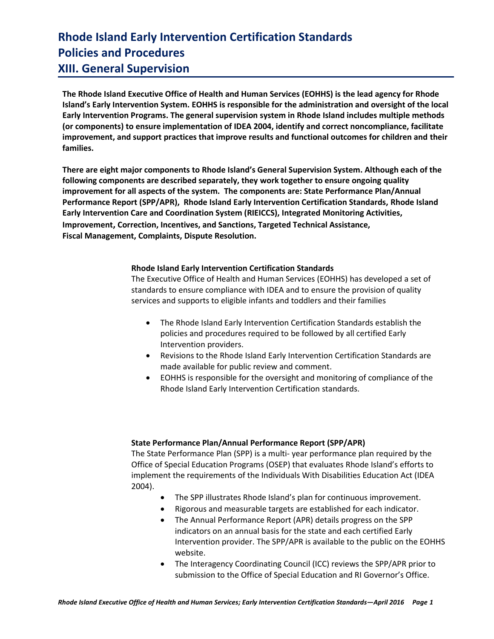**The Rhode Island Executive Office of Health and Human Services (EOHHS) is the lead agency for Rhode Island's Early Intervention System. EOHHS is responsible for the administration and oversight of the local Early Intervention Programs. The general supervision system in Rhode Island includes multiple methods (or components) to ensure implementation of IDEA 2004, identify and correct noncompliance, facilitate improvement, and support practices that improve results and functional outcomes for children and their families.**

**There are eight major components to Rhode Island's General Supervision System. Although each of the following components are described separately, they work together to ensure ongoing quality improvement for all aspects of the system. The components are: State Performance Plan/Annual Performance Report (SPP/APR), Rhode Island Early Intervention Certification Standards, Rhode Island Early Intervention Care and Coordination System (RIEICCS), Integrated Monitoring Activities, Improvement, Correction, Incentives, and Sanctions, Targeted Technical Assistance, Fiscal Management, Complaints, Dispute Resolution.**

### **Rhode Island Early Intervention Certification Standards**

The Executive Office of Health and Human Services (EOHHS) has developed a set of standards to ensure compliance with IDEA and to ensure the provision of quality services and supports to eligible infants and toddlers and their families

- The Rhode Island Early Intervention Certification Standards establish the policies and procedures required to be followed by all certified Early Intervention providers.
- Revisions to the Rhode Island Early Intervention Certification Standards are made available for public review and comment.
- EOHHS is responsible for the oversight and monitoring of compliance of the Rhode Island Early Intervention Certification standards.

#### **State Performance Plan/Annual Performance Report (SPP/APR)**

The State Performance Plan (SPP) is a multi- year performance plan required by the Office of Special Education Programs (OSEP) that evaluates Rhode Island's efforts to implement the requirements of the Individuals With Disabilities Education Act (IDEA 2004).

- The SPP illustrates Rhode Island's plan for continuous improvement.
- Rigorous and measurable targets are established for each indicator.
- The Annual Performance Report (APR) details progress on the SPP indicators on an annual basis for the state and each certified Early Intervention provider. The SPP/APR is available to the public on the EOHHS website.
- The Interagency Coordinating Council (ICC) reviews the SPP/APR prior to submission to the Office of Special Education and RI Governor's Office.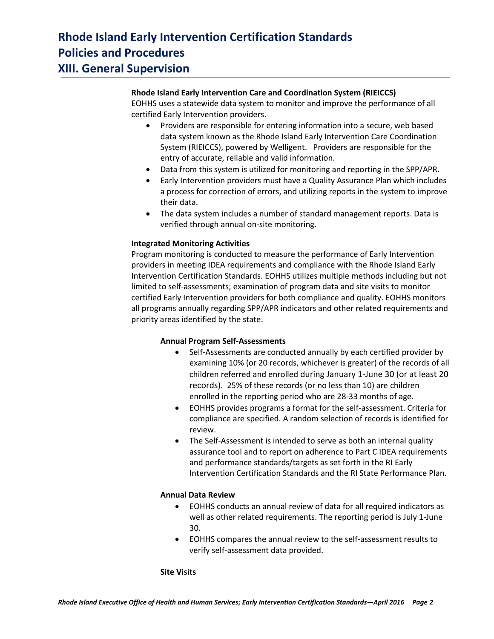### **Rhode Island Early Intervention Care and Coordination System (RIEICCS)**

EOHHS uses a statewide data system to monitor and improve the performance of all certified Early Intervention providers.

- Providers are responsible for entering information into a secure, web based data system known as the Rhode Island Early Intervention Care Coordination System (RIEICCS), powered by Welligent. Providers are responsible for the entry of accurate, reliable and valid information.
- Data from this system is utilized for monitoring and reporting in the SPP/APR.
- Early Intervention providers must have a Quality Assurance Plan which includes a process for correction of errors, and utilizing reports in the system to improve their data.
- The data system includes a number of standard management reports. Data is verified through annual on-site monitoring.

### **Integrated Monitoring Activities**

Program monitoring is conducted to measure the performance of Early Intervention providers in meeting IDEA requirements and compliance with the Rhode Island Early Intervention Certification Standards. EOHHS utilizes multiple methods including but not limited to self-assessments; examination of program data and site visits to monitor certified Early Intervention providers for both compliance and quality. EOHHS monitors all programs annually regarding SPP/APR indicators and other related requirements and priority areas identified by the state.

#### **Annual Program Self-Assessments**

- Self-Assessments are conducted annually by each certified provider by examining 10% (or 20 records, whichever is greater) of the records of all children referred and enrolled during January 1-June 30 (or at least 20 records).25% of these records (or no less than 10) are children enrolled in the reporting period who are 28-33 months of age.
- EOHHS provides programs a format for the self-assessment. Criteria for compliance are specified. A random selection of records is identified for review.
- The Self-Assessment is intended to serve as both an internal quality assurance tool and to report on adherence to Part C IDEA requirements and performance standards/targets as set forth in the RI Early Intervention Certification Standards and the RI State Performance Plan.

#### **Annual Data Review**

- EOHHS conducts an annual review of data for all required indicators as well as other related requirements. The reporting period is July 1-June 30.
- EOHHS compares the annual review to the self-assessment results to verify self-assessment data provided.

#### **Site Visits**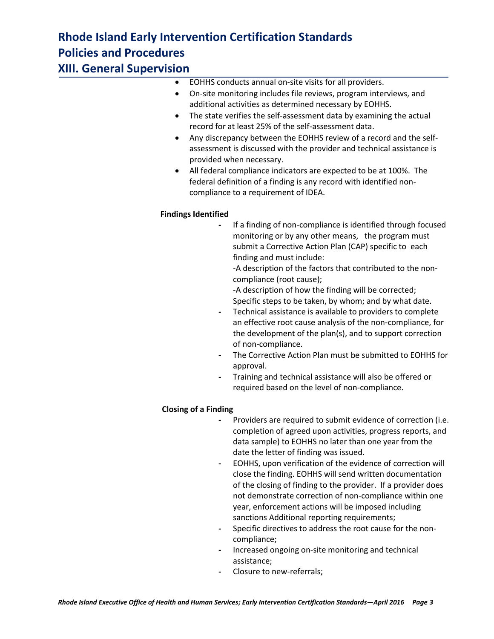**XIII. General Supervision**

- EOHHS conducts annual on-site visits for all providers.
- On-site monitoring includes file reviews, program interviews, and additional activities as determined necessary by EOHHS.
- The state verifies the self-assessment data by examining the actual record for at least 25% of the self-assessment data.
- Any discrepancy between the EOHHS review of a record and the selfassessment is discussed with the provider and technical assistance is provided when necessary.
- All federal compliance indicators are expected to be at 100%. The federal definition of a finding is any record with identified noncompliance to a requirement of IDEA.

## **Findings Identified**

- **-** If a finding of non-compliance is identified through focused monitoring or by any other means, the program must submit a Corrective Action Plan (CAP) specific to each finding and must include:
	- -A description of the factors that contributed to the noncompliance (root cause);
	- -A description of how the finding will be corrected; Specific steps to be taken, by whom; and by what date.
- **-** Technical assistance is available to providers to complete an effective root cause analysis of the non-compliance, for the development of the plan(s), and to support correction of non-compliance.
- **-** The Corrective Action Plan must be submitted to EOHHS for approval.
- **-** Training and technical assistance will also be offered or required based on the level of non-compliance.

## **Closing of a Finding**

- **-** Providers are required to submit evidence of correction (i.e. completion of agreed upon activities, progress reports, and data sample) to EOHHS no later than one year from the date the letter of finding was issued.
- **-** EOHHS, upon verification of the evidence of correction will close the finding. EOHHS will send written documentation of the closing of finding to the provider. If a provider does not demonstrate correction of non-compliance within one year, enforcement actions will be imposed including sanctions Additional reporting requirements;
- **-** Specific directives to address the root cause for the noncompliance;
- **-** Increased ongoing on-site monitoring and technical assistance;
- **-** Closure to new-referrals;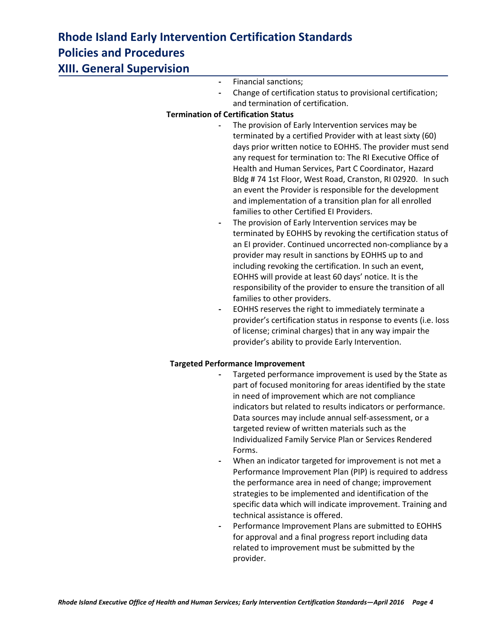| XIII. General Supervision |                                                                                                                                                                                                                                                                                                                                                                                                                                                                                                                                                                                                                                                                                                                                                                                                                                                                                                                                                                                                                                                                                                                                                                                                                                                                                     |
|---------------------------|-------------------------------------------------------------------------------------------------------------------------------------------------------------------------------------------------------------------------------------------------------------------------------------------------------------------------------------------------------------------------------------------------------------------------------------------------------------------------------------------------------------------------------------------------------------------------------------------------------------------------------------------------------------------------------------------------------------------------------------------------------------------------------------------------------------------------------------------------------------------------------------------------------------------------------------------------------------------------------------------------------------------------------------------------------------------------------------------------------------------------------------------------------------------------------------------------------------------------------------------------------------------------------------|
|                           | Financial sanctions;                                                                                                                                                                                                                                                                                                                                                                                                                                                                                                                                                                                                                                                                                                                                                                                                                                                                                                                                                                                                                                                                                                                                                                                                                                                                |
|                           | Change of certification status to provisional certification;                                                                                                                                                                                                                                                                                                                                                                                                                                                                                                                                                                                                                                                                                                                                                                                                                                                                                                                                                                                                                                                                                                                                                                                                                        |
|                           | and termination of certification.                                                                                                                                                                                                                                                                                                                                                                                                                                                                                                                                                                                                                                                                                                                                                                                                                                                                                                                                                                                                                                                                                                                                                                                                                                                   |
|                           | <b>Termination of Certification Status</b>                                                                                                                                                                                                                                                                                                                                                                                                                                                                                                                                                                                                                                                                                                                                                                                                                                                                                                                                                                                                                                                                                                                                                                                                                                          |
|                           | The provision of Early Intervention services may be<br>terminated by a certified Provider with at least sixty (60)<br>days prior written notice to EOHHS. The provider must send<br>any request for termination to: The RI Executive Office of<br>Health and Human Services, Part C Coordinator, Hazard<br>Bldg #74 1st Floor, West Road, Cranston, RI 02920. In such<br>an event the Provider is responsible for the development<br>and implementation of a transition plan for all enrolled<br>families to other Certified EI Providers.<br>The provision of Early Intervention services may be<br>terminated by EOHHS by revoking the certification status of<br>an EI provider. Continued uncorrected non-compliance by a<br>provider may result in sanctions by EOHHS up to and<br>including revoking the certification. In such an event,<br>EOHHS will provide at least 60 days' notice. It is the<br>responsibility of the provider to ensure the transition of all<br>families to other providers.<br>EOHHS reserves the right to immediately terminate a<br>$\overline{\phantom{a}}$<br>provider's certification status in response to events (i.e. loss<br>of license; criminal charges) that in any way impair the<br>provider's ability to provide Early Intervention. |
|                           | <b>Targeted Performance Improvement</b>                                                                                                                                                                                                                                                                                                                                                                                                                                                                                                                                                                                                                                                                                                                                                                                                                                                                                                                                                                                                                                                                                                                                                                                                                                             |
|                           | Targeted performance improvement is used by the State as                                                                                                                                                                                                                                                                                                                                                                                                                                                                                                                                                                                                                                                                                                                                                                                                                                                                                                                                                                                                                                                                                                                                                                                                                            |
|                           | part of focused monitoring for areas identified by the state<br>in need of improvement which are not compliance<br>indicators but related to results indicators or performance.<br>Data sources may include annual self-assessment, or a<br>targeted review of written materials such as the<br>Individualized Family Service Plan or Services Rendered<br>Forms.<br>When an indicator targeted for improvement is not met a<br>Performance Improvement Plan (PIP) is required to address<br>the performance area in need of change; improvement                                                                                                                                                                                                                                                                                                                                                                                                                                                                                                                                                                                                                                                                                                                                    |
|                           | strategies to be implemented and identification of the<br>specific data which will indicate improvement. Training and<br>technical assistance is offered.<br>Performance Improvement Plans are submitted to EOHHS<br>for approval and a final progress report including data                                                                                                                                                                                                                                                                                                                                                                                                                                                                                                                                                                                                                                                                                                                                                                                                                                                                                                                                                                                                        |

for approval and a final progress report including data related to improvement must be submitted by the provider.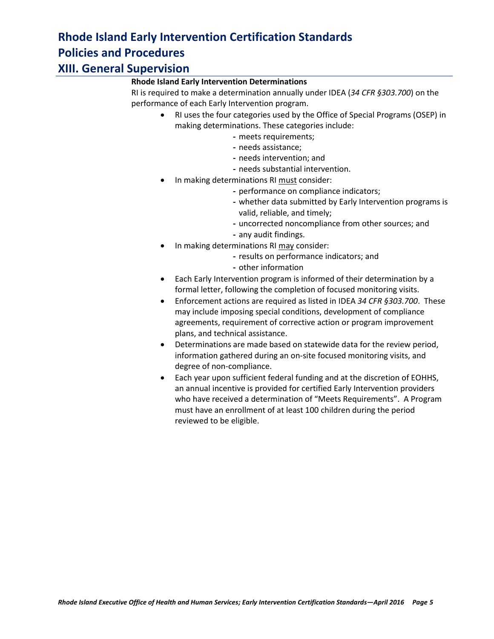## **Rhode Island Early Intervention Determinations**

RI is required to make a determination annually under IDEA (*34 CFR §303.700*) on the performance of each Early Intervention program.

- RI uses the four categories used by the Office of Special Programs (OSEP) in making determinations. These categories include:
	- **-** meets requirements;
	- **-** needs assistance;
	- **-** needs intervention; and
	- **-** needs substantial intervention.
- In making determinations RI must consider:
	- **-** performance on compliance indicators;
	- **-** whether data submitted by Early Intervention programs is valid, reliable, and timely;
	- **-** uncorrected noncompliance from other sources; and
	- **-** any audit findings.
- In making determinations RI may consider:
	- **-** results on performance indicators; and
	- **-** other information
- Each Early Intervention program is informed of their determination by a formal letter, following the completion of focused monitoring visits.
- Enforcement actions are required as listed in IDEA *34 CFR §303.700*. These may include imposing special conditions, development of compliance agreements, requirement of corrective action or program improvement plans, and technical assistance.
- Determinations are made based on statewide data for the review period, information gathered during an on-site focused monitoring visits, and degree of non-compliance.
- Each year upon sufficient federal funding and at the discretion of EOHHS, an annual incentive is provided for certified Early Intervention providers who have received a determination of "Meets Requirements". A Program must have an enrollment of at least 100 children during the period reviewed to be eligible.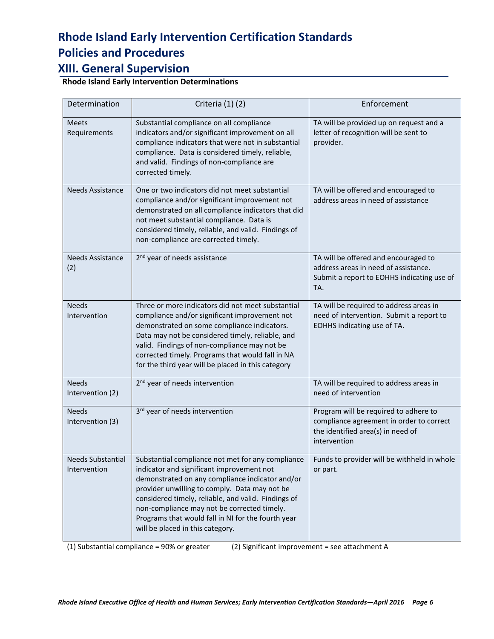# **XIII. General Supervision**

**Rhode Island Early Intervention Determinations**

| Determination                            | Criteria (1) (2)                                                                                                                                                                                                                                                                                                                                                                                   | Enforcement                                                                                                                            |
|------------------------------------------|----------------------------------------------------------------------------------------------------------------------------------------------------------------------------------------------------------------------------------------------------------------------------------------------------------------------------------------------------------------------------------------------------|----------------------------------------------------------------------------------------------------------------------------------------|
| <b>Meets</b><br>Requirements             | Substantial compliance on all compliance<br>indicators and/or significant improvement on all<br>compliance indicators that were not in substantial<br>compliance. Data is considered timely, reliable,<br>and valid. Findings of non-compliance are<br>corrected timely.                                                                                                                           | TA will be provided up on request and a<br>letter of recognition will be sent to<br>provider.                                          |
| <b>Needs Assistance</b>                  | One or two indicators did not meet substantial<br>compliance and/or significant improvement not<br>demonstrated on all compliance indicators that did<br>not meet substantial compliance. Data is<br>considered timely, reliable, and valid. Findings of<br>non-compliance are corrected timely.                                                                                                   | TA will be offered and encouraged to<br>address areas in need of assistance                                                            |
| Needs Assistance<br>(2)                  | 2 <sup>nd</sup> year of needs assistance                                                                                                                                                                                                                                                                                                                                                           | TA will be offered and encouraged to<br>address areas in need of assistance.<br>Submit a report to EOHHS indicating use of<br>TA.      |
| <b>Needs</b><br>Intervention             | Three or more indicators did not meet substantial<br>compliance and/or significant improvement not<br>demonstrated on some compliance indicators.<br>Data may not be considered timely, reliable, and<br>valid. Findings of non-compliance may not be<br>corrected timely. Programs that would fall in NA<br>for the third year will be placed in this category                                    | TA will be required to address areas in<br>need of intervention. Submit a report to<br>EOHHS indicating use of TA.                     |
| <b>Needs</b><br>Intervention (2)         | 2 <sup>nd</sup> year of needs intervention                                                                                                                                                                                                                                                                                                                                                         | TA will be required to address areas in<br>need of intervention                                                                        |
| <b>Needs</b><br>Intervention (3)         | 3rd year of needs intervention                                                                                                                                                                                                                                                                                                                                                                     | Program will be required to adhere to<br>compliance agreement in order to correct<br>the identified area(s) in need of<br>intervention |
| <b>Needs Substantial</b><br>Intervention | Substantial compliance not met for any compliance<br>indicator and significant improvement not<br>demonstrated on any compliance indicator and/or<br>provider unwilling to comply. Data may not be<br>considered timely, reliable, and valid. Findings of<br>non-compliance may not be corrected timely.<br>Programs that would fall in NI for the fourth year<br>will be placed in this category. | Funds to provider will be withheld in whole<br>or part.                                                                                |

(1) Substantial compliance = 90% or greater (2) Significant improvement = see attachment A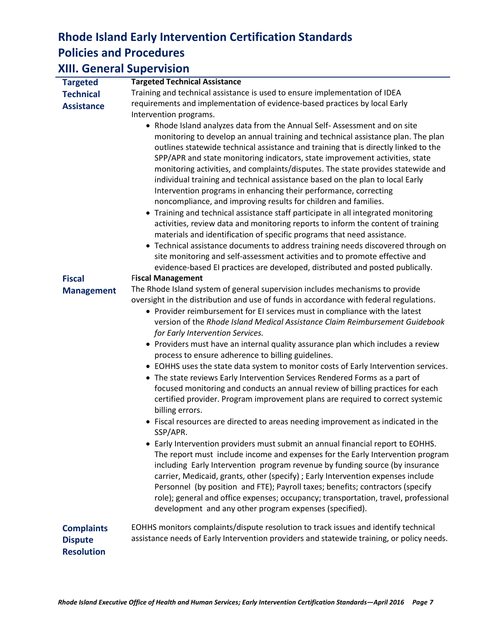### **XIII. General Supervision Targeted Technical Assistance Targeted Technical Assistance** Training and technical assistance is used to ensure implementation of IDEA requirements and implementation of evidence-based practices by local Early Intervention programs. • Rhode Island analyzes data from the Annual Self- Assessment and on site monitoring to develop an annual training and technical assistance plan. The plan outlines statewide technical assistance and training that is directly linked to the SPP/APR and state monitoring indicators, state improvement activities, state monitoring activities, and complaints/disputes. The state provides statewide and individual training and technical assistance based on the plan to local Early Intervention programs in enhancing their performance, correcting noncompliance, and improving results for children and families. Training and technical assistance staff participate in all integrated monitoring activities, review data and monitoring reports to inform the content of training materials and identification of specific programs that need assistance. Technical assistance documents to address training needs discovered through on site monitoring and self-assessment activities and to promote effective and evidence-based EI practices are developed, distributed and posted publically. **Fiscal Management** F**iscal Management** The Rhode Island system of general supervision includes mechanisms to provide oversight in the distribution and use of funds in accordance with federal regulations. Provider reimbursement for EI services must in compliance with the latest version of the *Rhode Island Medical Assistance Claim Reimbursement Guidebook for Early Intervention Services.* • Providers must have an internal quality assurance plan which includes a review process to ensure adherence to billing guidelines. EOHHS uses the state data system to monitor costs of Early Intervention services. The state reviews Early Intervention Services Rendered Forms as a part of focused monitoring and conducts an annual review of billing practices for each certified provider. Program improvement plans are required to correct systemic billing errors. Fiscal resources are directed to areas needing improvement as indicated in the SSP/APR. Early Intervention providers must submit an annual financial report to EOHHS. The report must include income and expenses for the Early Intervention program including Early Intervention program revenue by funding source (by insurance carrier, Medicaid, grants, other (specify) ; Early Intervention expenses include Personnel (by position and FTE); Payroll taxes; benefits; contractors (specify role); general and office expenses; occupancy; transportation, travel, professional development and any other program expenses (specified).

**Complaints Dispute Resolution**  EOHHS monitors complaints/dispute resolution to track issues and identify technical assistance needs of Early Intervention providers and statewide training, or policy needs.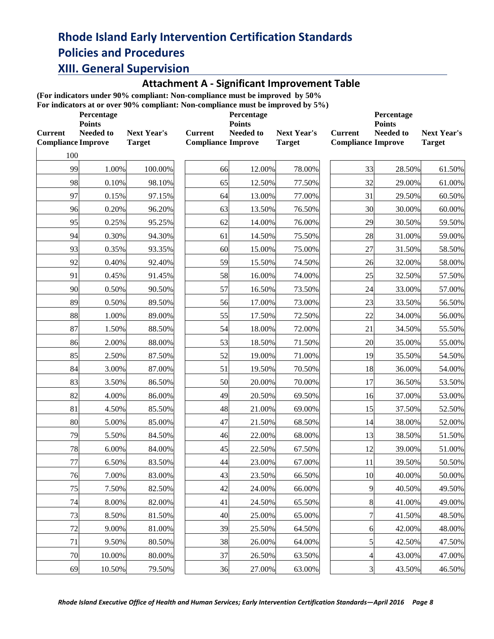## **Attachment A - Significant Improvement Table**

**(For indicators under 90% compliant: Non-compliance must be improved by 50%**

**For indicators at or over 90% compliant: Non-compliance must be improved by 5%)**

|                                             | Percentage<br><b>Points</b> | Por indicators at 01 over 7070 compnant. Four-compnance must be improved by 3707 |                                             | Percentage<br><b>Points</b> |                              | Percentage<br><b>Points</b>                 |           |                                     |
|---------------------------------------------|-----------------------------|----------------------------------------------------------------------------------|---------------------------------------------|-----------------------------|------------------------------|---------------------------------------------|-----------|-------------------------------------|
| <b>Current</b><br><b>Compliance Improve</b> | <b>Needed to</b>            | <b>Next Year's</b><br><b>Target</b>                                              | <b>Current</b><br><b>Compliance Improve</b> | Needed to                   | Next Year's<br><b>Target</b> | <b>Current</b><br><b>Compliance Improve</b> | Needed to | <b>Next Year's</b><br><b>Target</b> |
| 100                                         |                             |                                                                                  |                                             |                             |                              |                                             |           |                                     |
| 99                                          | 1.00%                       | 100.00%                                                                          | 66                                          | 12.00%                      | 78.00%                       | 33                                          | 28.50%    | 61.50%                              |
| 98                                          | 0.10%                       | 98.10%                                                                           | 65                                          | 12.50%                      | 77.50%                       | 32                                          | 29.00%    | 61.00%                              |
| 97                                          | 0.15%                       | 97.15%                                                                           | 64                                          | 13.00%                      | 77.00%                       | 31                                          | 29.50%    | 60.50%                              |
| 96                                          | 0.20%                       | 96.20%                                                                           | 63                                          | 13.50%                      | 76.50%                       | 30                                          | 30.00%    | 60.00%                              |
| 95                                          | 0.25%                       | 95.25%                                                                           | 62                                          | 14.00%                      | 76.00%                       | 29                                          | 30.50%    | 59.50%                              |
| 94                                          | 0.30%                       | 94.30%                                                                           | 61                                          | 14.50%                      | 75.50%                       | 28                                          | 31.00%    | 59.00%                              |
| 93                                          | 0.35%                       | 93.35%                                                                           | 60                                          | 15.00%                      | 75.00%                       | 27                                          | 31.50%    | 58.50%                              |
| 92                                          | 0.40%                       | 92.40%                                                                           | 59                                          | 15.50%                      | 74.50%                       | 26                                          | 32.00%    | 58.00%                              |
| 91                                          | 0.45%                       | 91.45%                                                                           | 58                                          | 16.00%                      | 74.00%                       | 25                                          | 32.50%    | 57.50%                              |
| 90                                          | 0.50%                       | 90.50%                                                                           | 57                                          | 16.50%                      | 73.50%                       | 24                                          | 33.00%    | 57.00%                              |
| 89                                          | 0.50%                       | 89.50%                                                                           | 56                                          | 17.00%                      | 73.00%                       | 23                                          | 33.50%    | 56.50%                              |
| 88                                          | 1.00%                       | 89.00%                                                                           | 55                                          | 17.50%                      | 72.50%                       | 22                                          | 34.00%    | 56.00%                              |
| 87                                          | 1.50%                       | 88.50%                                                                           | 54                                          | 18.00%                      | 72.00%                       | 21                                          | 34.50%    | 55.50%                              |
| 86                                          | 2.00%                       | 88.00%                                                                           | 53                                          | 18.50%                      | 71.50%                       | 20                                          | 35.00%    | 55.00%                              |
| 85                                          | 2.50%                       | 87.50%                                                                           | 52                                          | 19.00%                      | 71.00%                       | 19                                          | 35.50%    | 54.50%                              |
| 84                                          | 3.00%                       | 87.00%                                                                           | 51                                          | 19.50%                      | 70.50%                       | 18                                          | 36.00%    | 54.00%                              |
| 83                                          | 3.50%                       | 86.50%                                                                           | 50                                          | 20.00%                      | 70.00%                       | 17                                          | 36.50%    | 53.50%                              |
| 82                                          | 4.00%                       | 86.00%                                                                           | 49                                          | 20.50%                      | 69.50%                       | 16                                          | 37.00%    | 53.00%                              |
| 81                                          | 4.50%                       | 85.50%                                                                           | 48                                          | 21.00%                      | 69.00%                       | 15                                          | 37.50%    | 52.50%                              |
| 80                                          | 5.00%                       | 85.00%                                                                           | 47                                          | 21.50%                      | 68.50%                       | 14                                          | 38.00%    | 52.00%                              |
| 79                                          | 5.50%                       | 84.50%                                                                           | 46                                          | 22.00%                      | 68.00%                       | 13                                          | 38.50%    | 51.50%                              |
| 78                                          | 6.00%                       | 84.00%                                                                           | 45                                          | 22.50%                      | 67.50%                       | 12                                          | 39.00%    | 51.00%                              |
| $77 \,$                                     | 6.50%                       | 83.50%                                                                           | 44                                          | 23.00%                      | 67.00%                       | 11                                          | 39.50%    | 50.50%                              |
| 76                                          | 7.00%                       | 83.00%                                                                           | 43                                          | 23.50%                      | 66.50%                       | 10                                          | 40.00%    | 50.00%                              |
| 75                                          | 7.50%                       | 82.50%                                                                           | 42                                          | 24.00%                      | 66.00%                       | 9                                           | 40.50%    | 49.50%                              |
| 74                                          | 8.00%                       | 82.00%                                                                           | 41                                          | 24.50%                      | 65.50%                       | 8                                           | 41.00%    | 49.00%                              |
| 73                                          | 8.50%                       | 81.50%                                                                           | 40                                          | 25.00%                      | 65.00%                       | $\boldsymbol{7}$                            | 41.50%    | 48.50%                              |
| 72                                          | 9.00%                       | 81.00%                                                                           | 39                                          | 25.50%                      | 64.50%                       | 6                                           | 42.00%    | 48.00%                              |
| 71                                          | 9.50%                       | 80.50%                                                                           | 38                                          | 26.00%                      | 64.00%                       | 5                                           | 42.50%    | 47.50%                              |
| 70                                          | 10.00%                      | 80.00%                                                                           | 37                                          | 26.50%                      | 63.50%                       | 4                                           | 43.00%    | 47.00%                              |
| 69                                          | 10.50%                      | 79.50%                                                                           | 36                                          | 27.00%                      | 63.00%                       | $\mathfrak{Z}$                              | 43.50%    | 46.50%                              |